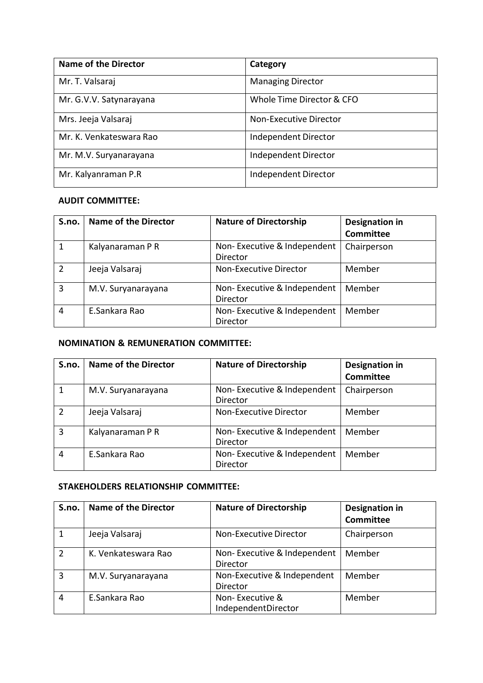| <b>Name of the Director</b> | Category                  |
|-----------------------------|---------------------------|
| Mr. T. Valsaraj             | <b>Managing Director</b>  |
| Mr. G.V.V. Satynarayana     | Whole Time Director & CFO |
| Mrs. Jeeja Valsaraj         | Non-Executive Director    |
| Mr. K. Venkateswara Rao     | Independent Director      |
| Mr. M.V. Suryanarayana      | Independent Director      |
| Mr. Kalyanraman P.R         | Independent Director      |

## **AUDIT COMMITTEE:**

| S.no.          | <b>Name of the Director</b> | <b>Nature of Directorship</b>           | <b>Designation in</b><br><b>Committee</b> |
|----------------|-----------------------------|-----------------------------------------|-------------------------------------------|
| 1              | Kalyanaraman P R            | Non-Executive & Independent<br>Director | Chairperson                               |
| $\overline{2}$ | Jeeja Valsaraj              | Non-Executive Director                  | Member                                    |
| 3              | M.V. Suryanarayana          | Non-Executive & Independent<br>Director | Member                                    |
| 4              | E.Sankara Rao               | Non-Executive & Independent<br>Director | Member                                    |

## **NOMINATION & REMUNERATION COMMITTEE:**

| S.no.          | <b>Name of the Director</b> | <b>Nature of Directorship</b>           | <b>Designation in</b> |
|----------------|-----------------------------|-----------------------------------------|-----------------------|
|                |                             |                                         | <b>Committee</b>      |
| 1              | M.V. Suryanarayana          | Non-Executive & Independent<br>Director | Chairperson           |
| $\overline{2}$ | Jeeja Valsaraj              | Non-Executive Director                  | Member                |
| $\overline{3}$ | Kalyanaraman P R            | Non-Executive & Independent<br>Director | Member                |
| 4              | E.Sankara Rao               | Non-Executive & Independent<br>Director | Member                |

## **STAKEHOLDERS RELATIONSHIP COMMITTEE:**

| S.no.          | <b>Name of the Director</b> | <b>Nature of Directorship</b>           | <b>Designation in</b><br>Committee |
|----------------|-----------------------------|-----------------------------------------|------------------------------------|
|                | Jeeja Valsaraj              | Non-Executive Director                  | Chairperson                        |
| $\overline{2}$ | K. Venkateswara Rao         | Non-Executive & Independent<br>Director | Member                             |
| $\overline{3}$ | M.V. Suryanarayana          | Non-Executive & Independent<br>Director | Member                             |
| $\overline{4}$ | E.Sankara Rao               | Non-Executive &<br>IndependentDirector  | Member                             |